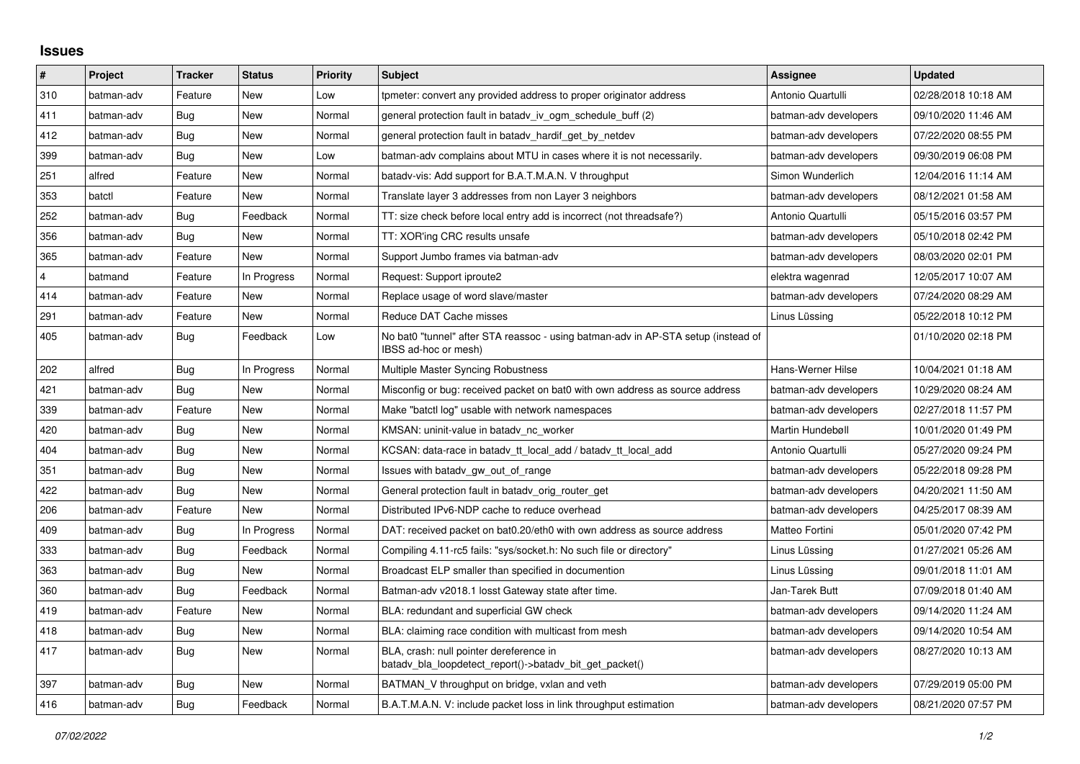## **Issues**

| $\pmb{\sharp}$ | Project    | <b>Tracker</b> | <b>Status</b> | Priority | <b>Subject</b>                                                                                            | <b>Assignee</b>       | <b>Updated</b>      |
|----------------|------------|----------------|---------------|----------|-----------------------------------------------------------------------------------------------------------|-----------------------|---------------------|
| 310            | batman-adv | Feature        | <b>New</b>    | Low      | tpmeter: convert any provided address to proper originator address                                        | Antonio Quartulli     | 02/28/2018 10:18 AM |
| 411            | batman-adv | Bug            | New           | Normal   | general protection fault in batady iv ogm_schedule_buff (2)                                               | batman-adv developers | 09/10/2020 11:46 AM |
| 412            | batman-adv | Bug            | <b>New</b>    | Normal   | general protection fault in batadv_hardif_get_by_netdev                                                   | batman-adv developers | 07/22/2020 08:55 PM |
| 399            | batman-adv | Bug            | <b>New</b>    | Low      | batman-adv complains about MTU in cases where it is not necessarily.                                      | batman-adv developers | 09/30/2019 06:08 PM |
| 251            | alfred     | Feature        | <b>New</b>    | Normal   | batady-vis: Add support for B.A.T.M.A.N. V throughput                                                     | Simon Wunderlich      | 12/04/2016 11:14 AM |
| 353            | batctl     | Feature        | New           | Normal   | Translate layer 3 addresses from non Layer 3 neighbors                                                    | batman-adv developers | 08/12/2021 01:58 AM |
| 252            | batman-adv | Bug            | Feedback      | Normal   | TT: size check before local entry add is incorrect (not threadsafe?)                                      | Antonio Quartulli     | 05/15/2016 03:57 PM |
| 356            | batman-adv | Bug            | <b>New</b>    | Normal   | TT: XOR'ing CRC results unsafe                                                                            | batman-adv developers | 05/10/2018 02:42 PM |
| 365            | batman-adv | Feature        | <b>New</b>    | Normal   | Support Jumbo frames via batman-adv                                                                       | batman-adv developers | 08/03/2020 02:01 PM |
| $\overline{4}$ | batmand    | Feature        | In Progress   | Normal   | Request: Support iproute2                                                                                 | elektra wagenrad      | 12/05/2017 10:07 AM |
| 414            | batman-adv | Feature        | New           | Normal   | Replace usage of word slave/master                                                                        | batman-adv developers | 07/24/2020 08:29 AM |
| 291            | batman-adv | Feature        | New           | Normal   | Reduce DAT Cache misses                                                                                   | Linus Lüssing         | 05/22/2018 10:12 PM |
| 405            | batman-adv | <b>Bug</b>     | Feedback      | Low      | No bat0 "tunnel" after STA reassoc - using batman-adv in AP-STA setup (instead of<br>IBSS ad-hoc or mesh) |                       | 01/10/2020 02:18 PM |
| 202            | alfred     | Bug            | In Progress   | Normal   | Multiple Master Syncing Robustness                                                                        | Hans-Werner Hilse     | 10/04/2021 01:18 AM |
| 421            | batman-adv | Bug            | <b>New</b>    | Normal   | Misconfig or bug: received packet on bat0 with own address as source address                              | batman-adv developers | 10/29/2020 08:24 AM |
| 339            | batman-adv | Feature        | New           | Normal   | Make "batctl log" usable with network namespaces                                                          | batman-adv developers | 02/27/2018 11:57 PM |
| 420            | batman-adv | <b>Bug</b>     | <b>New</b>    | Normal   | KMSAN: uninit-value in batady nc worker                                                                   | Martin Hundebøll      | 10/01/2020 01:49 PM |
| 404            | batman-adv | Bug            | <b>New</b>    | Normal   | KCSAN: data-race in batady tt local add / batady tt local add                                             | Antonio Quartulli     | 05/27/2020 09:24 PM |
| 351            | batman-adv | <b>Bug</b>     | <b>New</b>    | Normal   | Issues with batady gw_out_of_range                                                                        | batman-adv developers | 05/22/2018 09:28 PM |
| 422            | batman-adv | Bug            | New           | Normal   | General protection fault in batady orig router get                                                        | batman-adv developers | 04/20/2021 11:50 AM |
| 206            | batman-adv | Feature        | <b>New</b>    | Normal   | Distributed IPv6-NDP cache to reduce overhead                                                             | batman-adv developers | 04/25/2017 08:39 AM |
| 409            | batman-adv | Bug            | In Progress   | Normal   | DAT: received packet on bat0.20/eth0 with own address as source address                                   | Matteo Fortini        | 05/01/2020 07:42 PM |
| 333            | batman-adv | Bug            | Feedback      | Normal   | Compiling 4.11-rc5 fails: "sys/socket.h: No such file or directory"                                       | Linus Lüssing         | 01/27/2021 05:26 AM |
| 363            | batman-adv | Bug            | New           | Normal   | Broadcast ELP smaller than specified in documention                                                       | Linus Lüssing         | 09/01/2018 11:01 AM |
| 360            | batman-adv | Bug            | Feedback      | Normal   | Batman-adv v2018.1 losst Gateway state after time.                                                        | Jan-Tarek Butt        | 07/09/2018 01:40 AM |
| 419            | batman-adv | Feature        | New           | Normal   | BLA: redundant and superficial GW check                                                                   | batman-adv developers | 09/14/2020 11:24 AM |
| 418            | batman-adv | Bug            | New           | Normal   | BLA: claiming race condition with multicast from mesh                                                     | batman-adv developers | 09/14/2020 10:54 AM |
| 417            | batman-adv | <b>Bug</b>     | New           | Normal   | BLA, crash: null pointer dereference in<br>batadv_bla_loopdetect_report()->batadv_bit_get_packet()        | batman-adv developers | 08/27/2020 10:13 AM |
| 397            | batman-adv | <b>Bug</b>     | <b>New</b>    | Normal   | BATMAN V throughput on bridge, vxlan and veth                                                             | batman-adv developers | 07/29/2019 05:00 PM |
| 416            | batman-adv | Bug            | Feedback      | Normal   | B.A.T.M.A.N. V: include packet loss in link throughput estimation                                         | batman-adv developers | 08/21/2020 07:57 PM |